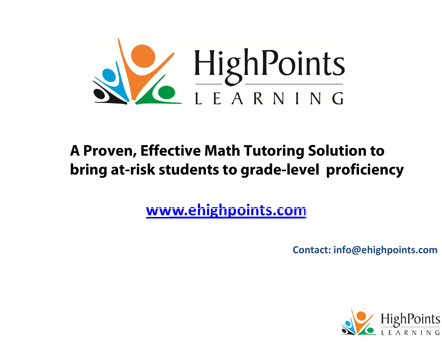

### **A Proven, Effective Math Tutoring Solution to bring at-risk students to grade-level proficiency**

**www.[ehighpoints](www.ehighpoints.net).com**

**Contact: info@ehighpoints.co<sup>m</sup> <sup>m</sup>**

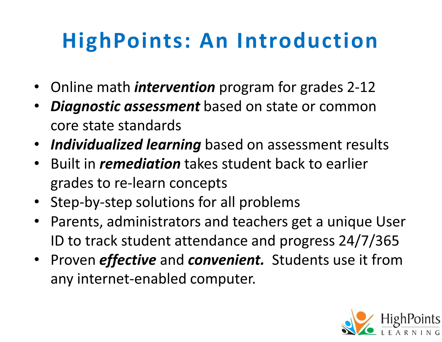# **HighPoints: An Introduction**

- Online math *intervention* program for grades 2-12
- • *Diagnostic assessment* based on state or common core state standards
- $\bullet$ *Individualized learning* based on assessment results
- $\bullet$  Built in *remediation* takes student back to earlier grades to re-learn concepts
- $\bullet$ Step-by-step solutions for all problems
- $\bullet$  Parents, administrators and teachers get a unique User ID to track student attendance and progress 24/7/365
- $\bullet$  Proven *effective* and *convenient.* Students use it from any internet-enabled computer.

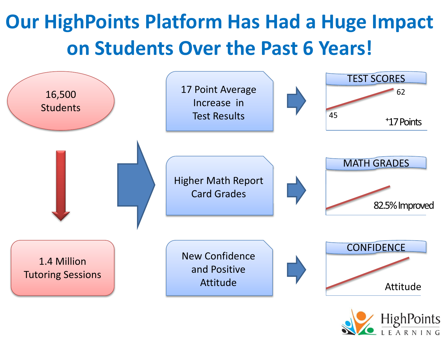## **Our HighPoints Platform Has Had a Huge Impact on Students Over the Past 6 Years!**



**HighPoints**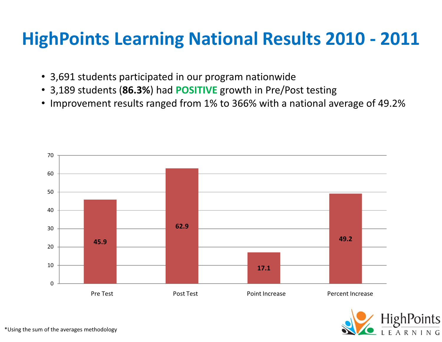### **HighPoints Learning National Results 2010 - 2011**

- 3,691 students participated in our program nationwide
- 3,189 students (**86.3%**) had **POSITIVE** growth in Pre/Post testing
- Improvement results ranged from 1% to 366% with a national average of 49.2%



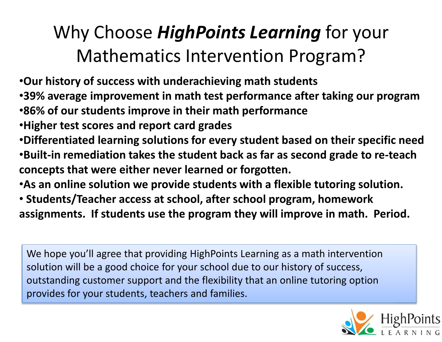## Why Choose *HighPoints Learning* for your Mathematics Intervention Program?

•**Our history of success with underachieving math students** 

- •**39% average improvement in math test performance after taking our program**
- •**86% of our students improve in their math performance**
- •**Higher test scores and report card grades**
- •**Differentiated learning solutions for every student based on their specific need** •**Built-in remediation takes the student back as far as second grade to re-teach concepts that were either never learned or forgotten.**
- •**As an online solution we provide students with a flexible tutoring solution.**
- • **Students/Teacher access at school, after school program, homework assignments. If students use the program they will improve in math. Period.**

We hope you'll agree that providing HighPoints Learning as a math intervention solution will be a good choice for your school due to our history of success, outstanding customer support and the flexibility that an online tutoring option provides for your students, teachers and families.